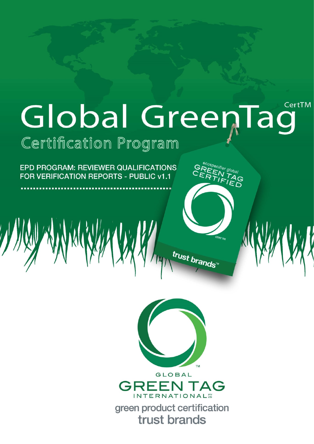# CertTM Global GreenTag Certification Program

 $\begin{matrix} \mathsf{GR}^{\mathsf{e_{\textit{Co}}\mathsf{p_{\textit{e}}}}\mathsf{c}_{\textit{ffie}}\mathsf{g\textit{lo}}\mathsf{b}_{\textit{a}\textit{l}}}\\ \mathsf{CRF}\mathsf{FM}^{\mathsf{T}}\mathsf{IA} \\ \mathsf{FRFF}\mathsf{IF} \\ \mathsf{I}\mathsf{ED} \end{matrix}$ 

trust brands<sup>\*\*</sup>

EPD PROGRAM: REVIEWER QUALIFICATIONS FOR VERIFICATION REPORTS - PUBLIC v1.1

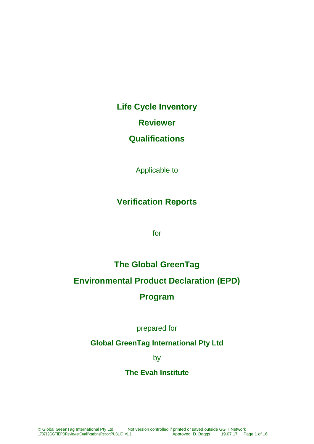**Life Cycle Inventory**

**Reviewer**

### **Qualifications**

Applicable to

# **Verification Reports**

for

# **The Global GreenTag**

# **Environmental Product Declaration (EPD)**

### **Program**

prepared for

### **Global GreenTag International Pty Ltd**

by

### **The Evah Institute**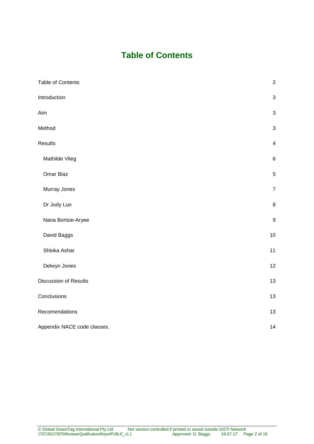# **Table of Contents**

| Table of Contents           | $\sqrt{2}$              |
|-----------------------------|-------------------------|
| Introduction                | $\sqrt{3}$              |
| Aim                         | $\sqrt{3}$              |
| Method                      | $\sqrt{3}$              |
| Results                     | $\overline{\mathbf{4}}$ |
| Mathilde Vlieg              | $\,6\,$                 |
| Omar Biaz                   | $\,$ 5 $\,$             |
| Murray Jones                | $\boldsymbol{7}$        |
| Dr Judy Luo                 | $\,8\,$                 |
| Nana Bortsie-Aryee          | $\boldsymbol{9}$        |
| David Baggs                 | $10$                    |
| Shloka Ashar                | 11                      |
| Delwyn Jones                | 12                      |
| Discussion of Results       | 13                      |
| Conclusions                 | 13                      |
| Recomendations              | 13                      |
| Appendix NACE code classes. | 14                      |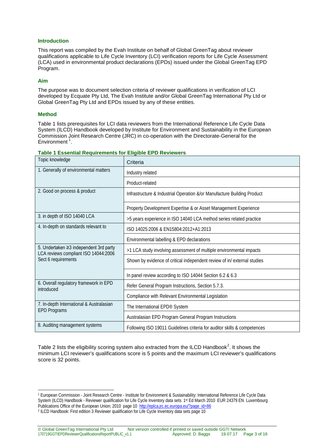#### **Introduction**

This report was compiled by the Evah Institute on behalf of Global GreenTag about reviewer qualifications applicable to Life Cycle Inventory (LCI) verification reports for Life Cycle Assessment (LCA) used in environmental product declarations (EPDs) issued under the Global GreenTag EPD Program.

#### **Aim**

The purpose was to document selection criteria of reviewer qualifications in verification of LCI developed by Ecquate Pty Ltd, The Evah Institute and/or Global GreenTag International Pty Ltd or Global GreenTag Pty Ltd and EPDs issued by any of these entities.

#### **Method**

-

Table 1 lists prerequisites for LCI data reviewers from the International Reference Life Cycle Data System (ILCD) Handbook developed by Institute for Environment and Sustainability in the European Commission Joint Research Centre (JRC) in co-operation with the Directorate-General for the Environment<sup>[1](#page-3-0)</sup>.

| Topic knowledge                                                                | Criteria                                                                 |
|--------------------------------------------------------------------------------|--------------------------------------------------------------------------|
| 1. Generally of environmental matters                                          | Industry related                                                         |
|                                                                                | Product-related                                                          |
| 2. Good on process & product                                                   | Infrastructure & Industrial Operation &/or Manufacture Building Product  |
|                                                                                | Property Development Expertise & or Asset Management Experience          |
| 3. in depth of ISO 14040 LCA                                                   | >5 years experience in ISO 14040 LCA method series related practice      |
| 4. In-depth on standards relevant to                                           | ISO 14025:2006 & EN15804:2012+A1:2013                                    |
|                                                                                | Environmental labelling & EPD declarations                               |
| 5. Undertaken ≥3 independent 3rd party<br>LCA reviews compliant ISO 14044:2006 | >1 LCA study involving assessment of multiple environmental impacts      |
| Sect 6 requirements                                                            | Shown by evidence of critical independent review of in/external studies  |
|                                                                                | In panel review according to ISO 14044 Section 6.2 & 6.3                 |
| 6. Overall regulatory framework in EPD<br>introduced                           | Refer General Program Instructions, Section 5.7.3.                       |
|                                                                                | Compliance with Relevant Environmental Legislation                       |
| 7. In-depth International & Australasian<br><b>EPD Programs</b>                | The International EPD® System                                            |
|                                                                                | Australasian EPD Program General Program Instructions                    |
| 8. Auditing management systems                                                 | Following ISO 19011 Guidelines criteria for auditor skills & competences |

#### **Table 1 Essential Requirements for Eligible EPD Reviewers**

Table [2](#page-3-1) lists the eligibility scoring system also extracted from the ILCD Handbook<sup>2</sup>. It shows the minimum LCI reviewer's qualifications score is 5 points and the maximum LCI reviewer's qualifications score is 32 points.

<span id="page-3-0"></span><sup>1</sup> European Commission - Joint Research Centre - Institute for Environment & Sustainability: International Reference Life Cycle Data System (ILCD) Handbook - Reviewer qualification for Life Cycle Inventory data sets. 1st Ed March 2010 EUR 24379 EN Luxembourg Publications Office of the European Union; 2010 page 10 [http://eplca.jrc.ec.europa.eu/?page\\_id=86](http://eplca.jrc.ec.europa.eu/?page_id=86)

<span id="page-3-1"></span><sup>2</sup> ILCD Handbook: First edition 3 Reviewer qualification for Life Cycle Inventory data sets page 10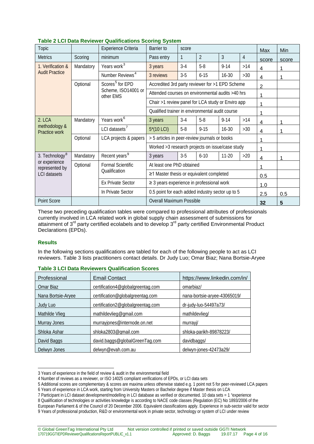| Topic                           |                          | Experience Criteria              | <b>Barrier</b> to                                 | score                                          |                |           | <b>Max</b>     | Min            |       |   |
|---------------------------------|--------------------------|----------------------------------|---------------------------------------------------|------------------------------------------------|----------------|-----------|----------------|----------------|-------|---|
| <b>Metrics</b>                  | Scoring                  | minimum                          | Pass entry                                        | $\mathbf{1}$                                   | $\overline{2}$ | 3         | $\overline{4}$ | score          | score |   |
| 1. Verification &               | Mandatory                | Years work <sup>3</sup>          | 3 years                                           | $3-4$                                          | $5-8$          | $9 - 14$  | >14            | 4              | 1     |   |
| <b>Audit Practice</b>           |                          | Number Reviews <sup>4</sup>      | 3 reviews                                         | $3-5$                                          | $6 - 15$       | $16 - 30$ | $>30$          | 4              | 1     |   |
|                                 | Optional                 | Scores <sup>5</sup> for EPD      | Accredited 3rd party reviewer for >1 EPD Scheme   |                                                |                |           |                | $\overline{2}$ |       |   |
|                                 |                          | Scheme, ISO14001 or<br>other EMS | Attended courses on environmental audits >40 hrs  |                                                |                |           |                |                |       |   |
|                                 |                          |                                  | Chair >1 review panel for LCA study or Enviro app |                                                |                |           |                | 1              |       |   |
|                                 |                          |                                  | Qualified trainer in environmental audit course   |                                                |                |           |                | 1              |       |   |
| 2. LCA                          | Mandatory                | Years work <sup>6</sup>          | 3 years                                           | $3-4$                                          | $5-8$          | $9 - 14$  | >14            | 4              | 1     |   |
| methodology &<br>Practice work  |                          |                                  | LCI datasets <sup>7</sup>                         | $5*(10$ LCI)                                   | $5 - 8$        | $9 - 15$  | $16 - 30$      | $>30$          | 4     | 1 |
|                                 | Optional                 | LCA projects & papers            | > 5 articles in peer-review journals or books     |                                                |                |           |                | 1              |       |   |
|                                 |                          |                                  | Worked >3 research projects on issue/case study   |                                                |                |           |                | 1              |       |   |
| 3. Technology <sup>8</sup>      | Mandatory                | Recent years <sup>9</sup>        | 3 years                                           | $3-5$                                          | $6 - 10$       | $11 - 20$ | $>20$          | 4              | 1     |   |
| or experience<br>represented by | Optional                 | Formal Scientific                |                                                   | At least one PhD obtained                      |                |           |                |                |       |   |
| <b>LCI</b> datasets             |                          | Qualification                    | ≥1 Master thesis or equivalent completed          |                                                |                |           |                | 0.5            |       |   |
|                                 | <b>Ex Private Sector</b> |                                  |                                                   | $\geq$ 3 years experience in professional work |                |           |                | 1.0            |       |   |
|                                 |                          | In Private Sector                | 0.5 point for each added industry sector up to 5  |                                                |                |           |                | 2.5            | 0.5   |   |
| Point Score                     |                          |                                  | <b>Overall Maximum Possible</b>                   |                                                |                |           |                | 32             | 5     |   |

| <b>Table 2 LCI Data Reviewer Qualifications Scoring System</b> |  |
|----------------------------------------------------------------|--|
|----------------------------------------------------------------|--|

These two preceding qualification tables were compared to professional attributes of professionals currently involved in LCA related work in global supply chain assessment of submissions for attainment of 3<sup>rd</sup> party certified ecolabels and to develop 3<sup>rd</sup> party certified Environmental Product Declarations (EPDs).

#### **Results**

In the following sections qualifications are tabled for each of the following people to act as LCI reviewers. Table 3 lists practitioners contact details. Dr Judy Luo; Omar Biaz; Nana Bortsie-Aryee

| Professional       | <b>Email Contact</b>              | https://www.linkedin.com/in/ |
|--------------------|-----------------------------------|------------------------------|
| Omar Biaz          | certification4@globalgreentag.com | omarbiaz/                    |
| Nana Bortsie-Aryee | certification@globalgreentag.com  | nana-bortsie-aryee-43065019/ |
| Judy Luo           | certification2@globalgreentag.com | dr-judy-luo-54497a73/        |
| Mathilde Vlieg     | mathildevlieg@gmail.com           | mathildevlieg/               |
| Murray Jones       | murrayjones@internode.on.net      | murrayi/                     |
| Shloka Ashar       | shloka2803@gmail.com              | shloka-parikh-89878223/      |
| David Baggs        | david.baggs@globalGreenTag.com    | davidbaggs/                  |
| Delwyn Jones       | delwyn@evah.com.au                | delwyn-jones-42473a29/       |

#### **Table 3 LCI Data Reviewers Qualification Scores**

<sup>-</sup>3 Years of experience in the field of review & audit in the environmental field

<span id="page-4-0"></span><sup>4</sup> Number of reviews as a reviewer, or ISO 14025 compliant verifications of EPDs, or LCI data sets

<span id="page-4-3"></span><span id="page-4-2"></span><span id="page-4-1"></span><sup>5</sup> Additional scores are complementary & scores are maxima unless otherwise stated e.g. 1 point not 5 for peer-reviewed LCA papers 6 Years of experience in LCA work, starting from University Masters or Bachelor degree if Master thesis on LCA

<sup>7</sup> Participant in LCI dataset development/modelling in LCI database as verified or documented. 10 data sets = 1 "experience

<span id="page-4-5"></span><span id="page-4-4"></span><sup>8</sup> Qualification of technologies or activities knowledge is according to NACE code classes (Regulation (EC) No 1893/2006 of the

<span id="page-4-6"></span>European Parliament & of the Council of 20 December 2006. Equivalent classifications apply. Experience in sub-sector valid for sector 9 Years of professional production, R&D or environmental work in private sector, technology or system of LCI under review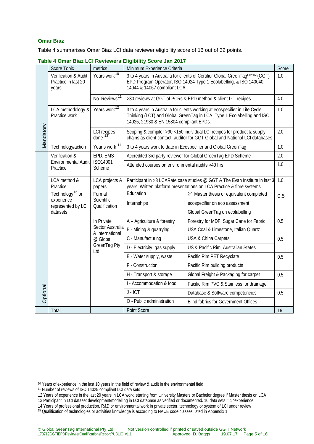#### **Omar Biaz**

Table 4 summarises Omar Biaz LCI data reviewer eligibility score of 16 out of 32 points.

|           | <b>TOMAI DIAZ LUI NEVIEWEI S LIIGIDIIILY OCULE JAII ZUTT</b><br>Score<br>Minimum Experience Criteria<br>Score Topic<br>metrics |                                       |                                                                                                                                                                                                  |                                                                                                                                                        |     |  |
|-----------|--------------------------------------------------------------------------------------------------------------------------------|---------------------------------------|--------------------------------------------------------------------------------------------------------------------------------------------------------------------------------------------------|--------------------------------------------------------------------------------------------------------------------------------------------------------|-----|--|
|           | Verification & Audit<br>Practice in last 20<br>years                                                                           | Years work <sup>10</sup>              | 14044 & 14067 compliant LCA.                                                                                                                                                                     | 3 to 4 years in Australia for clients of Certifier Global GreenTagCert™ (GGT)<br>EPD Program Operator, ISO 14024 Type 1 Ecolabelling, & ISO 140040,    | 1.0 |  |
|           |                                                                                                                                | No. Reviews <sup>11</sup>             |                                                                                                                                                                                                  | >30 reviews at GGT of PCRs & EPD method & client LCI recipes.                                                                                          | 4.0 |  |
|           | LCA methodology &<br>Practice work                                                                                             | Years work <sup>12</sup>              | 3 to 4 years in Australia for clients working at ecospecifier in Life Cycle<br>Thinking (LCT) and Global GreenTag in LCA, Type 1 Ecolabelling and ISO<br>14025, 21930 & EN 15804 compliant EPDs. |                                                                                                                                                        | 1.0 |  |
| Mandatory |                                                                                                                                | LCI recipes<br>done 13                |                                                                                                                                                                                                  | Scoping & compiler >90 <150 individual LCI recipes for product & supply<br>chains as client contact, auditor for GGT Global and National LCI databases | 2.0 |  |
|           | Technology/action                                                                                                              | Year s work 14                        | 3 to 4 years work to date in Ecospecifier and Global GreenTag                                                                                                                                    |                                                                                                                                                        |     |  |
|           | Verification &                                                                                                                 | EPD, EMS                              |                                                                                                                                                                                                  | Accredited 3rd party reviewer for Global GreenTag EPD Scheme                                                                                           | 2.0 |  |
|           | Environmental Audit<br>Practice                                                                                                | ISO14001<br>Scheme                    | Attended courses on environmental audits >40 hrs                                                                                                                                                 |                                                                                                                                                        | 1.0 |  |
|           | LCA method &<br>Practice                                                                                                       | LCA projects &<br>papers              | Participant in >3 LCARate case studies @ GGT & The Evah Institute in last 3<br>years. Written platform presentations on LCA Practice & fibre systems                                             | 1.0                                                                                                                                                    |     |  |
|           | Technology <sup>15</sup> or<br>experience<br>represented by LCI                                                                | Formal<br>Scientific<br>Qualification | Education                                                                                                                                                                                        | ≥1 Master thesis or equivalent completed                                                                                                               | 0.5 |  |
|           |                                                                                                                                |                                       | Internships                                                                                                                                                                                      | ecospecifier on eco assessment                                                                                                                         |     |  |
|           | datasets                                                                                                                       |                                       |                                                                                                                                                                                                  | Global GreenTag on ecolabelling                                                                                                                        |     |  |
|           |                                                                                                                                | In Private                            | A - Agriculture & forestry                                                                                                                                                                       | Forestry for MDF, Sugar Cane for Fabric                                                                                                                | 0.5 |  |
|           |                                                                                                                                | Sector Australia<br>& International   | B - Mining & quarrying                                                                                                                                                                           | USA Coal & Limestone, Italian Quartz                                                                                                                   |     |  |
|           |                                                                                                                                | @ Global                              | C - Manufacturing                                                                                                                                                                                | USA & China Carpets                                                                                                                                    | 0.5 |  |
|           |                                                                                                                                | GreenTag Pty<br>Ltd                   | D - Electricity, gas supply                                                                                                                                                                      | US & Pacific Rim, Australian States                                                                                                                    |     |  |
|           |                                                                                                                                |                                       | E - Water supply, waste                                                                                                                                                                          | Pacific Rim PET Recyclate                                                                                                                              | 0.5 |  |
|           |                                                                                                                                |                                       | F - Construction                                                                                                                                                                                 | Pacific Rim building products                                                                                                                          |     |  |
|           |                                                                                                                                |                                       | H - Transport & storage                                                                                                                                                                          | Global Freight & Packaging for carpet                                                                                                                  | 0.5 |  |
|           |                                                                                                                                |                                       | I - Accommodation & food                                                                                                                                                                         | Pacific Rim PVC & Stainless for drainage                                                                                                               |     |  |
| Optional  |                                                                                                                                |                                       | $J - ICT$                                                                                                                                                                                        | Database & Software competencies                                                                                                                       | 0.5 |  |
|           |                                                                                                                                |                                       | O - Public administration                                                                                                                                                                        | <b>Blind fabrics for Government Offices</b>                                                                                                            |     |  |
|           | Total                                                                                                                          |                                       | Point Score                                                                                                                                                                                      |                                                                                                                                                        | 16  |  |

**Table 4 Omar Biaz LCI Reviewers Eligibility Score Jan 2017**

<span id="page-5-4"></span>14 Years of professional production, R&D or environmental work in private sector, technology or system of LCI under review

<span id="page-5-1"></span><span id="page-5-0"></span><sup>&</sup>lt;sup>10</sup> Years of experience in the last 10 years in the field of review & audit in the environmental field <sup>10</sup> Years of experience in the last 10 years in the field of review & audit in the environmental field 11 Number of reviews of ISO 14025 compliant LCI data sets

<sup>12</sup> Years of experience in the last 20 years in LCA work, starting from University Masters or Bachelor degree if Master thesis on LCA

<span id="page-5-3"></span><span id="page-5-2"></span><sup>13</sup> Participant in LCI dataset development/modelling in LCI database as verified or documented. 10 data sets = 1 "experience

<span id="page-5-5"></span><sup>15</sup> Qualification of technologies or activities knowledge is according to NACE code classes listed in Appendix 1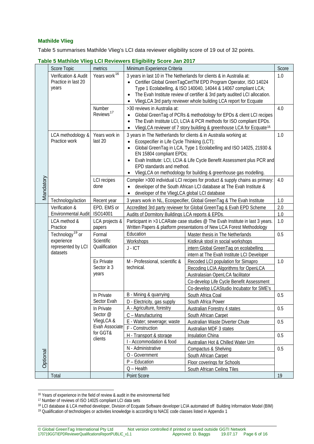#### **Mathilde Vlieg**

Table 5 summarises Mathilde Vlieg's LCI data reviewer eligibility score of 19 out of 32 points.

|           | Score Topic                      | metrics                              | Minimum Experience Criteria                                                  |                                                                                   |              |
|-----------|----------------------------------|--------------------------------------|------------------------------------------------------------------------------|-----------------------------------------------------------------------------------|--------------|
|           | Verification & Audit             | Years work <sup>16</sup>             |                                                                              | 3 years in last 10 in The Netherlands for clients & in Australia at:              | Score<br>1.0 |
|           | Practice in last 20              |                                      | $\bullet$                                                                    | Certifier Global GreenTagCertTM EPD Program Operator, ISO 14024                   |              |
|           | years                            |                                      |                                                                              | Type 1 Ecolabelling, & ISO 140040, 14044 & 14067 compliant LCA;                   |              |
|           |                                  |                                      |                                                                              | The Evah Institute review of certifier & 3rd party audited LCI allocation.        |              |
|           |                                  |                                      |                                                                              | VliegLCA 3rd party reviewer whole building LCA report for Ecquate                 |              |
|           |                                  | Number                               | >30 reviews in Australia at:                                                 |                                                                                   | 4.0          |
|           |                                  | Reviews <sup>17</sup>                |                                                                              | Global GreenTag of PCRs & methodology for EPDs & client LCI recipes               |              |
|           |                                  |                                      |                                                                              | The Evah Institute LCI, LCIA & PCR methods for ISO compliant EPDs.                |              |
|           |                                  |                                      | $\bullet$                                                                    | VliegLCA reviewer of 7 story building & greenhouse LCA for Ecquate <sup>18.</sup> |              |
|           | LCA methodology &                | Years work in                        |                                                                              | 3 years in The Netherlands for clients & in Australia working at:                 | 1.0          |
|           | Practice work                    | last 20                              | Ecospecifier in Life Cycle Thinking (LCT);                                   |                                                                                   |              |
|           |                                  |                                      |                                                                              | Global GreenTag in LCA, Type 1 Ecolabelling and ISO 14025, 21930 &                |              |
|           |                                  |                                      | EN 15804 compliant EPDs;                                                     |                                                                                   |              |
|           |                                  |                                      |                                                                              | Evah Institute: LCI, LCIA & Life Cycle Benefit Assessment plus PCR and            |              |
|           |                                  |                                      | EPD standards and method.                                                    |                                                                                   |              |
|           |                                  |                                      |                                                                              | VliegLCA on methodology for building & greenhouse gas modelling.                  |              |
|           |                                  | <b>LCI</b> recipes                   |                                                                              | Compiler >300 individual LCI recipes for product & supply chains as primary:      | 4.0          |
|           |                                  | done                                 |                                                                              | developer of the South African LCI database at The Evah Institute &               |              |
| Mandatory |                                  |                                      | developer of the VliegLCA global LCI database                                |                                                                                   |              |
|           | Technology/action                | Recent year                          |                                                                              | 3 years work in NL, Ecospecifier, Global GreenTag & The Evah Institute            | 1.0          |
|           | Verification &                   | EPD, EMS or                          |                                                                              | Accredited 3rd party reviewer for Global GreenTag & Evah EPD Scheme               | 2.0          |
|           | Environmental Audit              | ISO14001                             | Audits of Dormitory Buildings LCA reports & EPDs.                            |                                                                                   | 1.0          |
|           | LCA method &                     | LCA projects &                       | Participant in >3 LCARate case studies @ The Evah Institute in last 3 years. |                                                                                   | 1.0          |
|           | Practice                         | papers                               |                                                                              | Written Papers & platform presentations of New LCA Forest Methodology             |              |
|           | Technology <sup>19</sup> or      | Formal<br>Scientific                 | Education                                                                    | Master thesis in The Netherlands                                                  | 0.5          |
|           | experience<br>represented by LCI | Qualification                        | <b>Workshops</b>                                                             | Kistkruk stool in social workshops                                                |              |
|           | datasets                         |                                      | $J - ICT$                                                                    | intern Global GreenTag on ecolabelling                                            |              |
|           |                                  |                                      |                                                                              | intern at The Evah Institute LCI Developer                                        |              |
|           |                                  | <b>Ex Private</b><br>Sector $\geq 3$ | M - Professional, scientific &<br>technical.                                 | Recoded LCI population for Simapro                                                | 1.0          |
|           |                                  | years                                |                                                                              | Recoding LCIA Algorithms for OpenLCA                                              |              |
|           |                                  |                                      |                                                                              | Australasian OpenLCA facilitator                                                  |              |
|           |                                  |                                      |                                                                              | Co-develop Life Cycle Benefit Assessment                                          |              |
|           |                                  | In Private                           | B - Mining & quarrying                                                       | Co-develop LCAStudio Incubator for SME's                                          | 0.5          |
|           |                                  | Sector Evah                          | D - Electricity, gas supply                                                  | South Africa Coal<br>South Africa Power                                           |              |
|           |                                  | In Private                           | A - Agriculture, forestry                                                    | Australian Forestry 4 states                                                      | 0.5          |
|           |                                  | Sector @                             | C - Manufacturing                                                            | South African Carpet                                                              |              |
|           |                                  | VliegLCA &                           | E - Water; sewerage; waste                                                   | Australian Waste Diverter Chute                                                   | 0.5          |
|           |                                  | Evah Associate                       | F - Construction                                                             | Australian MDF 3 states                                                           |              |
|           |                                  | for GGT&                             | H - Transport & storage                                                      | Insulation China                                                                  | 0.5          |
|           |                                  | clients                              | I - Accommodation & food                                                     | Australian Hot & Chilled Water Urn                                                |              |
|           |                                  |                                      | N - Administrative                                                           | Compactus & Shelving                                                              | 0.5          |
| Optional  |                                  |                                      | O - Government                                                               | South African Carpet                                                              |              |
|           |                                  |                                      | P - Education                                                                | Floor coverings for Schools                                                       |              |
|           |                                  |                                      | $Q - Health$                                                                 | South African Ceiling Tiles                                                       |              |
|           | Total                            |                                      | Point Score                                                                  |                                                                                   | 19           |

**Table 5 Mathilde Vlieg LCI Reviewers Eligibility Score Jan 2017**

<sup>-</sup><sup>16</sup> Years of experience in the field of review & audit in the environmental field

<span id="page-6-2"></span><span id="page-6-1"></span><span id="page-6-0"></span><sup>17</sup> Number of reviews of ISO 14025 compliant LCI data sets

<span id="page-6-3"></span><sup>&</sup>lt;sup>18</sup> LCI database & LCA method developer, Division of Ecquate Software developer LCIA automated off Building Information Model (BIM) <sup>19</sup> Qualification of technologies or activities knowledge is according to NACE code classes listed in Appendix 1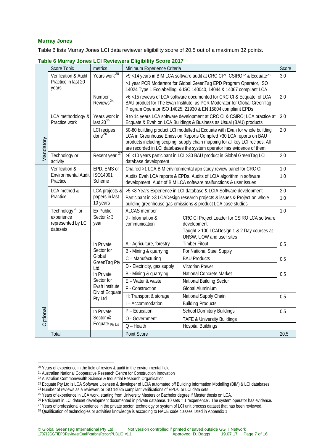#### **Murray Jones**

Table 6 lists Murray Jones LCI data reviewer eligibility score of 20.5 out of a maximum 32 points.

|           |                                                              |                                              | rapic o marray conce corrictioners chgibinty occid zo in                                                                                        |                                                                                                                                                                                                                                                                                                               |       |  |
|-----------|--------------------------------------------------------------|----------------------------------------------|-------------------------------------------------------------------------------------------------------------------------------------------------|---------------------------------------------------------------------------------------------------------------------------------------------------------------------------------------------------------------------------------------------------------------------------------------------------------------|-------|--|
|           | Score Topic                                                  | metrics                                      | Minimum Experience Criteria                                                                                                                     |                                                                                                                                                                                                                                                                                                               | Score |  |
|           | Verification & Audit                                         | Years work <sup>20</sup>                     | >9<14 years in BIM LCA software audit at CRC CI <sup>21</sup> , CSIRO <sup>22</sup> & Ecquate <sup>23</sup>                                     |                                                                                                                                                                                                                                                                                                               |       |  |
|           | Practice in last 20<br>years                                 |                                              |                                                                                                                                                 | >1 year PCR Moderator for Global GreenTag EPD Program Operator, ISO<br>14024 Type 1 Ecolabelling, & ISO 140040, 14044 & 14067 compliant LCA                                                                                                                                                                   |       |  |
|           |                                                              | Number<br>Reviews <sup>24</sup>              |                                                                                                                                                 | >6<15 reviews of LCA software documented for CRC CI & Ecquate; of LCA<br>BAU product for The Evah Institute, as PCR Moderator for Global GreenTag<br>Program Operator ISO 14025, 21930 & EN 15804 compliant EPDs                                                                                              |       |  |
|           | LCA methodology &<br>Practice work                           | Years work in<br>last 20 <sup>25</sup>       | 9 to 14 years LCA software development at CRC CI & CSIRO; LCA practice at<br>Ecquate & Evah on LCA Buildings & Business as Usual (BAU) products |                                                                                                                                                                                                                                                                                                               |       |  |
| Mandatory |                                                              | LCI recipes<br>$done^{26}$                   |                                                                                                                                                 | 50-80 building product LCI modelled at Ecquate with Evah for whole building<br>LCA in Greenhouse Emission Reports Compiled > 30 LCA reports on BAU<br>products including scoping, supply chain mapping for all key LCI recipes. All<br>are recorded in LCI databases the system operator has evidence of them |       |  |
|           | Technology or<br>activity                                    | Recent year <sup>27</sup>                    | database development                                                                                                                            | >6<10 years participant in LCI >30 BAU product in Global GreenTag LCI                                                                                                                                                                                                                                         | 2.0   |  |
|           | Verification &                                               | EPD, EMS or                                  | Chaired >1 LCA BIM environmental app study review panel for CRC CI                                                                              |                                                                                                                                                                                                                                                                                                               |       |  |
|           | ISO14001<br><b>Environmental Audit</b><br>Practice<br>Scheme |                                              | Audits Evah LCA reports & EPDs. Audits of LCIA algorithm in software<br>development. Audit of BIM LCA software malfunctions & user issues       |                                                                                                                                                                                                                                                                                                               | 1.0   |  |
|           | LCA method &                                                 | LCA projects &<br>papers in last<br>10 years | >5 <8 Years Experience in LCI database & LCIA Software development                                                                              |                                                                                                                                                                                                                                                                                                               | 2.0   |  |
|           | Practice                                                     |                                              | Participant in >3 LCADesign research projects & issues & Project on whole<br>building greenhouse gas emissions & product LCA case studies       |                                                                                                                                                                                                                                                                                                               |       |  |
|           | Technology <sup>28</sup> or                                  | Ex Public<br>Sector $\geq$ 3<br>year         | <b>ALCAS</b> member                                                                                                                             |                                                                                                                                                                                                                                                                                                               |       |  |
|           | experience<br>represented by LCI<br>datasets                 |                                              | J - Information &<br>communication                                                                                                              | CRC CI Project Leader for CSIRO LCA software<br>development                                                                                                                                                                                                                                                   |       |  |
|           |                                                              |                                              |                                                                                                                                                 | Taught > 100 LCADesign 1 & 2 Day courses at<br>UNSW, UOW and user sites                                                                                                                                                                                                                                       |       |  |
|           |                                                              | In Private                                   | A - Agriculture, forestry                                                                                                                       | <b>Timber Fitout</b>                                                                                                                                                                                                                                                                                          | 0.5   |  |
|           |                                                              | Sector for                                   | B - Mining & quarrying                                                                                                                          | For National Steel Supply                                                                                                                                                                                                                                                                                     |       |  |
|           |                                                              | Global<br>GreenTag Pty                       | C - Manufacturing                                                                                                                               | <b>BAU Products</b>                                                                                                                                                                                                                                                                                           | 0.5   |  |
|           |                                                              | ht                                           | D - Electricity, gas supply                                                                                                                     | Victorian Power                                                                                                                                                                                                                                                                                               |       |  |
|           |                                                              | In Private                                   | B - Mining & quarrying                                                                                                                          | National Concrete Market                                                                                                                                                                                                                                                                                      | 0.5   |  |
|           |                                                              | Sector for                                   | E - Water & waste                                                                                                                               | National Building Sector                                                                                                                                                                                                                                                                                      |       |  |
|           |                                                              | Evah Institute<br>Div of Ecquate             | F - Construction                                                                                                                                | Global Aluminium                                                                                                                                                                                                                                                                                              |       |  |
|           |                                                              | Pty Ltd                                      | H: Transport & storage                                                                                                                          | National Supply Chain                                                                                                                                                                                                                                                                                         | 0.5   |  |
|           |                                                              |                                              | I - Accommodation                                                                                                                               | <b>Building Products</b>                                                                                                                                                                                                                                                                                      |       |  |
| Optional  |                                                              | In Private                                   | $P - Education$                                                                                                                                 | <b>School Dormitory Buildings</b>                                                                                                                                                                                                                                                                             | 0.5   |  |
|           |                                                              | Sector @<br>Ecquate Pty Ltd                  | O - Government                                                                                                                                  | <b>TAFE &amp; University Buildings</b>                                                                                                                                                                                                                                                                        |       |  |
|           |                                                              |                                              | $Q - Health$                                                                                                                                    | <b>Hospital Buildings</b>                                                                                                                                                                                                                                                                                     |       |  |
|           | Total                                                        |                                              | Point Score                                                                                                                                     |                                                                                                                                                                                                                                                                                                               | 20.5  |  |

|  | Table 6 Murray Jones LCI Reviewers Eligibility Score 2017 |  |  |  |
|--|-----------------------------------------------------------|--|--|--|
|--|-----------------------------------------------------------|--|--|--|

<span id="page-7-0"></span><sup>-</sup><sup>20</sup> Years of experience in the field of review & audit in the environmental field

<span id="page-7-1"></span><sup>21</sup> Australian National Cooperative Research Centre for Construction Innovation

<span id="page-7-2"></span><sup>22</sup> Australian Commonwealth Science & Industrial Research Organisation

<span id="page-7-4"></span><span id="page-7-3"></span><sup>&</sup>lt;sup>23</sup> Ecquate Pty Ltd is LCA Software Licensee & developer of LCIA automated off Building Information Modelling (BIM) & LCI databases

<sup>&</sup>lt;sup>24</sup> Number of reviews as a reviewer, or ISO 14025 compliant verifications of EPDs, or LCI data sets

<sup>&</sup>lt;sup>25</sup> Years of experience in LCA work, starting from University Masters or Bachelor degree if Master thesis on LCA.

<span id="page-7-7"></span><span id="page-7-6"></span><span id="page-7-5"></span><sup>&</sup>lt;sup>26</sup> Participant in LCI dataset development documented in private database. 10 sets = 1 "experience". The system operator has evidence.<br><sup>27</sup> Years of professional experience in the private sector, technology or system of

<span id="page-7-8"></span><sup>&</sup>lt;sup>28</sup> Qualification of technologies or activities knowledge is according to NACE code classes listed in Appendix 1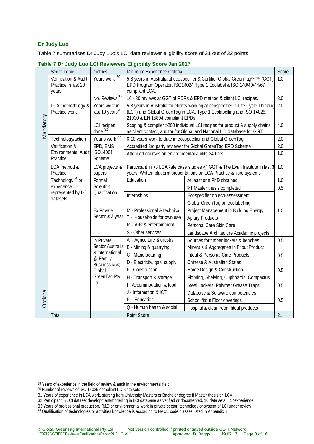#### **Dr Judy Luo**

Table 7 summarises Dr Judy Luo's LCI data reviewer eligibility score of 21 out of 32 points.

|           | Score Topic                                          | metrics                                      | Score<br>Minimum Experience Criteria                              |                                                                                                                                                                                                      |     |  |
|-----------|------------------------------------------------------|----------------------------------------------|-------------------------------------------------------------------|------------------------------------------------------------------------------------------------------------------------------------------------------------------------------------------------------|-----|--|
|           | Verification & Audit<br>Practice in last 20<br>years | Years work <sup>29</sup>                     | compliant LCA.                                                    | 5-8 years in Australia at ecospecifier & Certifier Global GreenTagCertTM (GGT)<br>EPD Program Operator, ISO14024 Type 1 Ecolabel & ISO 140/40/44/67                                                  | 1.0 |  |
|           |                                                      | No. Reviews <sup>30</sup>                    | 16 - 30 reviews at GGT of PCRs & EPD method & client LCI recipes. |                                                                                                                                                                                                      | 3.0 |  |
|           | LCA methodology &<br>Practice work                   | Years work in<br>last 10 years <sup>31</sup> |                                                                   | 2.0<br>5-8 years in Australia for clients working at ecospecifier in Life Cycle Thinking<br>(LCT) and Global GreenTag in LCA, Type 1 Ecolabelling and ISO 14025,<br>21930 & EN 15804 compliant EPDs. |     |  |
| Mandatory |                                                      | <b>LCI</b> recipes<br>done $32$ <sup>1</sup> |                                                                   | Scoping & compiler >200 individual LCI recipes for product & supply chains<br>as client contact, auditor for Global and National LCI database for GGT                                                | 4.0 |  |
|           | Technology/action                                    | Year s work 33                               |                                                                   | 6-10 years work to date in ecospecifier and Global GreenTag                                                                                                                                          | 2.0 |  |
|           | Verification &                                       | EPD, EMS                                     |                                                                   | Accredited 3rd party reviewer for Global GreenTag EPD Scheme                                                                                                                                         | 2.0 |  |
|           | Environmental Audit<br>Practice                      | ISO14001<br>Scheme                           | Attended courses on environmental audits >40 hrs                  |                                                                                                                                                                                                      | 1.0 |  |
|           | LCA method &<br>Practice                             | LCA projects &<br>papers                     |                                                                   | Participant in >3 LCARate case studies @ GGT & The Evah Institute in last 3<br>years. Written platform presentations on LCA Practice & fibre systems                                                 | 1.0 |  |
|           | Technology <sup>34</sup> or                          | Formal<br>Scientific<br>Qualification        | Education                                                         | At least one PhD obtained                                                                                                                                                                            | 1.0 |  |
|           | experience<br>represented by LCI<br>datasets         |                                              |                                                                   | ≥1 Master thesis completed                                                                                                                                                                           | 0.5 |  |
|           |                                                      |                                              | Internships                                                       | Ecospecifier on eco-assessment                                                                                                                                                                       |     |  |
|           |                                                      |                                              |                                                                   | Global GreenTag on ecolabelling                                                                                                                                                                      |     |  |
|           |                                                      | <b>Ex Private</b>                            | M - Professional & technical                                      | Project Management in Building Energy                                                                                                                                                                | 1.0 |  |
|           |                                                      | Sector $\geq$ 3 year                         | T - Households for own use                                        | <b>Apiary Products</b>                                                                                                                                                                               |     |  |
|           |                                                      |                                              | R - Arts & entertainment                                          | Personal Care Skin Care                                                                                                                                                                              |     |  |
|           |                                                      |                                              | S - Other services                                                | Landscape Architecture Academic projects                                                                                                                                                             |     |  |
|           |                                                      | In Private                                   | A - Agriculture &forestry                                         | Sources for timber lockers & benches                                                                                                                                                                 | 0.5 |  |
|           |                                                      | Sector Australia                             | B - Mining & quarrying                                            | Minerals & Aggregates in Fitout Product                                                                                                                                                              |     |  |
|           |                                                      | & International<br>@ Family                  | C - Manufacturing                                                 | <b>Fitout &amp; Personal Care Products</b>                                                                                                                                                           | 0.5 |  |
|           |                                                      | Business & @                                 | D - Electricity, gas, supply                                      | Chinese & Australian States                                                                                                                                                                          |     |  |
|           |                                                      | Global                                       | F - Construction                                                  | Home Design & Construction                                                                                                                                                                           | 0.5 |  |
|           |                                                      | GreenTag Pty                                 | H - Transport & storage                                           | Flooring, Shelving, Cupboards, Compactus                                                                                                                                                             |     |  |
|           |                                                      | Ltd                                          | I - Accommodation & food                                          | Steel Lockers, Polymer Grease Traps                                                                                                                                                                  | 0.5 |  |
|           |                                                      |                                              | J - Information & ICT                                             | Database & Software competencies                                                                                                                                                                     |     |  |
| Optional  |                                                      |                                              | $P - Education$                                                   | School fitout Floor coverings                                                                                                                                                                        | 0.5 |  |
|           |                                                      |                                              | Q - Human health & social                                         | Hospital & clean room fitout products                                                                                                                                                                |     |  |
|           | Total                                                |                                              | Point Score                                                       |                                                                                                                                                                                                      | 21  |  |

| Table 7 Dr Judy Luo LCI Reviewers Eligibility Score Jan 2017 |  |
|--------------------------------------------------------------|--|
|--------------------------------------------------------------|--|

-

<span id="page-8-1"></span><span id="page-8-0"></span><sup>&</sup>lt;sup>29</sup> Years of experience in the field of review & audit in the environmental field

<sup>30</sup> Number of reviews of ISO 14025 compliant LCI data sets

<sup>31</sup> Years of experience in LCA work, starting from University Masters or Bachelor degree if Master thesis on LCA

<span id="page-8-4"></span><span id="page-8-3"></span><span id="page-8-2"></span><sup>32</sup> Participant in LCI dataset development/modelling in LCI database as verified or documented. 10 data sets = 1 "experience

<sup>33</sup> Years of professional production, R&D or environmental work in private sector, technology or system of LCI under review

<span id="page-8-5"></span><sup>34</sup> Qualification of technologies or activities knowledge is according to NACE code classes listed in Appendix 1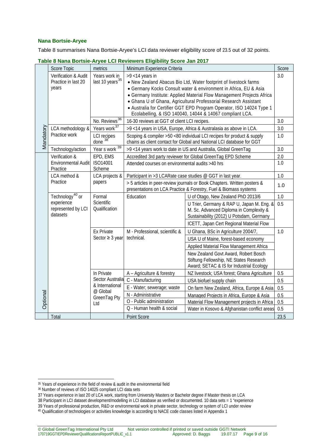#### **Nana Bortsie-Aryee**

Table 8 summarises Nana Bortsie-Aryee's LCI data reviewer eligibility score of 23.5 out of 32 points.

|           | Score Topic                                                                 | metrics                                      | Minimum Experience Criteria                                                                                                                  |                                                                                                                                  |            |
|-----------|-----------------------------------------------------------------------------|----------------------------------------------|----------------------------------------------------------------------------------------------------------------------------------------------|----------------------------------------------------------------------------------------------------------------------------------|------------|
|           | Verification & Audit<br>Practice in last 20                                 | Years work in<br>last 10 years <sup>35</sup> | $>9$ <14 years in                                                                                                                            | . New Zealand Abacus Bio Ltd, Water footprint of livestock farms                                                                 | 3.0        |
|           | years                                                                       |                                              |                                                                                                                                              | • Germany Kocks Consult water & environment in Africa, EU & Asia                                                                 |            |
|           |                                                                             |                                              |                                                                                                                                              | • Germany Institute: Applied Material Flow Management Projects Africa                                                            |            |
|           |                                                                             |                                              |                                                                                                                                              | · Ghana U of Ghana, Agricultural Professorial Research Assistant                                                                 |            |
|           |                                                                             |                                              |                                                                                                                                              | • Australia for Certifier GGT EPD Program Operator, ISO 14024 Type 1<br>Ecolabelling, & ISO 140040, 14044 & 14067 compliant LCA. |            |
|           |                                                                             | No. Reviews <sup>36</sup>                    | 16-30 reviews at GGT of client LCI recipes.                                                                                                  |                                                                                                                                  | 3.0        |
|           | LCA methodology &                                                           | Years work <sup>37</sup>                     |                                                                                                                                              | >9<14 years in USA, Europe, Africa & Australasia as above in LCA.                                                                | 3.0        |
| Mandatory | Practice work                                                               | LCI recipes<br>done 38                       |                                                                                                                                              | Scoping & compiler >50 <80 individual LCI recipes for product & supply                                                           | 1.0        |
|           |                                                                             |                                              | chains as client contact for Global and National LCI database for GGT                                                                        |                                                                                                                                  |            |
|           | Technology/action                                                           | Year s work 39                               |                                                                                                                                              | >9<14 years work to date in US and Australia, Global GreenTag                                                                    | 3.0        |
|           | Verification &                                                              | EPD, EMS                                     |                                                                                                                                              | Accredited 3rd party reviewer for Global GreenTag EPD Scheme                                                                     | 2.0        |
|           | Environmental Audit<br>Practice                                             | ISO14001<br>Scheme                           | Attended courses on environmental audits >40 hrs                                                                                             |                                                                                                                                  | 1.0        |
|           | LCA method &                                                                | LCA projects &<br>papers                     | Participant in >3 LCARate case studies @ GGT in last year.                                                                                   |                                                                                                                                  | 1.0        |
|           | Practice                                                                    |                                              | > 5 articles in peer-review journals or Book Chapters. Written posters &<br>presentations on LCA Practice & Forestry, Fuel & Biomass systems |                                                                                                                                  |            |
|           | Technology <sup>40</sup> or<br>experience<br>represented by LCI<br>datasets | Formal<br><b>Scientific</b><br>Qualification | Education                                                                                                                                    | U of Otago, New Zealand PhD 2013/6                                                                                               | 1.0        |
|           |                                                                             |                                              |                                                                                                                                              | U Trier, Germany & RAP U, Japan M. Eng. &<br>M. Sc. Advanced Diploma in Complexity &<br>Sustainability (2012) U Potsdam, Germany | 0.5        |
|           |                                                                             |                                              |                                                                                                                                              | ICETT, Japan Cert Regional Material Flow                                                                                         |            |
|           |                                                                             | <b>Ex Private</b>                            | M - Professional, scientific &                                                                                                               | U Ghana, BSc in Agriculture 2004/7,                                                                                              | 1.0        |
|           |                                                                             | Sector $\geq 3$ year                         | technical.                                                                                                                                   | USA U of Maine, forest-based economy                                                                                             |            |
|           |                                                                             |                                              |                                                                                                                                              | Applied Material Flow Management Africa                                                                                          |            |
|           |                                                                             |                                              |                                                                                                                                              | New Zealand Govt Award, Robert Bosch                                                                                             |            |
|           |                                                                             |                                              |                                                                                                                                              | Stiftung Fellowship, NE States Research                                                                                          |            |
|           |                                                                             |                                              |                                                                                                                                              | Award; SETAC & IS for Industrial Ecology                                                                                         |            |
|           |                                                                             | In Private<br>Sector Australia               | A - Agriculture & forestry<br>C - Manufacturing                                                                                              | NZ livestock; USA forest; Ghana Agriculture                                                                                      | 0.5        |
|           |                                                                             | & International                              | E - Water; sewerage; waste                                                                                                                   | USA biofuel supply chain                                                                                                         | 0.5        |
|           |                                                                             | @ Global                                     | N - Administrative                                                                                                                           | On farm New Zealand, Africa, Europe & Asia                                                                                       | 0.5        |
| Optional  |                                                                             | GreenTag Pty                                 | O - Public administration                                                                                                                    | Managed Projects in Africa, Europe & Asia<br>Material Flow Management projects in Africa                                         | 0.5<br>0.5 |
|           |                                                                             | Ltd                                          | Q - Human health & social                                                                                                                    | Water in Kosovo & Afghanistan conflict areas                                                                                     | 0.5        |
|           | Total                                                                       |                                              | Point Score                                                                                                                                  |                                                                                                                                  | 23.5       |

**Table 8 Nana Bortsie-Aryee LCI Reviewers Eligibility Score Jan 2017**

-

- 37 Years experience in last 20 of LCA work, starting from University Masters or Bachelor degree if Master thesis on LCA
- <span id="page-9-3"></span><span id="page-9-2"></span>38 Participant in LCI dataset development/modelling in LCI database as verified or documented. 10 data sets = 1 "experience
- 39 Years of professional production, R&D or environmental work in private sector, technology or system of LCI under review

<span id="page-9-1"></span><span id="page-9-0"></span><sup>&</sup>lt;sup>35</sup> Years of experience in the field of review & audit in the environmental field

<sup>36</sup> Number of reviews of ISO 14025 compliant LCI data sets

<span id="page-9-5"></span><span id="page-9-4"></span><sup>40</sup> Qualification of technologies or activities knowledge is according to NACE code classes listed in Appendix 1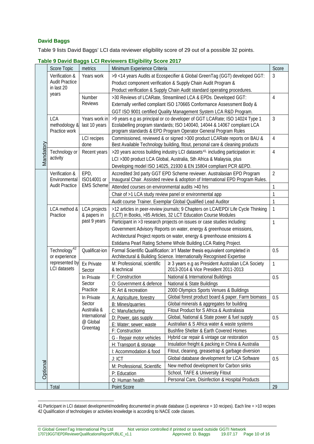#### **David Baggs**

-

Table 9 lists David Baggs' LCI data reviewer eligibility score of 29 out of a possible 32 points.

|           | o bayıa bağğu Lui nuviuwuru Liigibility Oboru Lui II                           |                                                                              |                                                                                                                                                                                                                         |                                                                                           |                |
|-----------|--------------------------------------------------------------------------------|------------------------------------------------------------------------------|-------------------------------------------------------------------------------------------------------------------------------------------------------------------------------------------------------------------------|-------------------------------------------------------------------------------------------|----------------|
|           | Score Topic<br>metrics                                                         |                                                                              | Minimum Experience Criteria                                                                                                                                                                                             |                                                                                           | Score          |
|           | Verification &                                                                 | Years work                                                                   | >9<14 years Audits at Ecospecifier & Global GreenTag (GGT) developed GGT:                                                                                                                                               |                                                                                           | 3              |
|           | <b>Audit Practice</b><br>in last 20                                            |                                                                              | Product component verification & Supply Chain Audit Program &                                                                                                                                                           |                                                                                           |                |
|           | years                                                                          |                                                                              | Product verification & Supply Chain Audit standard operating procedures.                                                                                                                                                |                                                                                           |                |
|           |                                                                                | Number                                                                       | >30 Reviews of LCARate, Streamlined LCA & EPDs. Developed GGT:                                                                                                                                                          |                                                                                           | 4              |
|           |                                                                                | <b>Reviews</b>                                                               | Externally verified compliant ISO 170665 Conformance Assessment Body &                                                                                                                                                  |                                                                                           |                |
|           |                                                                                |                                                                              |                                                                                                                                                                                                                         | GGT ISO 9001 certified Quality Management System LCA R&D Program.                         |                |
|           | <b>LCA</b><br>Years work in<br>methodology &<br>last 10 years<br>Practice work |                                                                              | >9 years e.g as principal or co developer of GGT LCARate; ISO 14024 Type 1<br>Ecolabelling program standards; ISO 140040, 14044 & 14067 compliant LCA<br>program standards & EPD Program Operator General Program Rules |                                                                                           | 3              |
|           |                                                                                | <b>LCI</b> recipes<br>done                                                   | Commissioned, reviewed & or signed >300 product LCARate reports on BAU &<br>$\overline{4}$<br>Best Available Technology building, fitout, personal care & cleaning products                                             |                                                                                           |                |
| Mandatory | Technology or                                                                  | Recent years                                                                 | >20 years across building industry LCI datasets <sup>41,</sup> including participation in:                                                                                                                              |                                                                                           | 4              |
|           | activity                                                                       |                                                                              | LCI >300 product LCA Global, Australia, Sth Africa & Malaysia, plus                                                                                                                                                     |                                                                                           |                |
|           |                                                                                |                                                                              | Developing model ISO 14025, 21930 & EN 15804 compliant PCR &EPD.                                                                                                                                                        |                                                                                           |                |
|           | Verification &                                                                 | EPD,                                                                         | Accredited 3rd party GGT EPD Scheme reviewer. Australasian EPD Program                                                                                                                                                  |                                                                                           | $\overline{2}$ |
|           | Environmental                                                                  | ISO14001 or                                                                  | Inaugural Chair. Assisted review & adoption of International EPD Program Rules.                                                                                                                                         |                                                                                           |                |
|           | <b>Audit Practice</b>                                                          | <b>EMS Scheme</b>                                                            | Attended courses on environmental audits >40 hrs                                                                                                                                                                        |                                                                                           | 1              |
|           |                                                                                |                                                                              | Chair of >1 LCA study review panel or environmental app                                                                                                                                                                 |                                                                                           | 1              |
|           |                                                                                |                                                                              |                                                                                                                                                                                                                         |                                                                                           | 1              |
|           | LCA method &                                                                   | <b>LCA</b> projects                                                          | Audit course Trainer. Exemplar Global Qualified Lead Auditor<br>>12 articles in peer-review journals; 9 Chapters on LCA/EPD/ Life Cycle Thinking                                                                        |                                                                                           | 1              |
|           | Practice                                                                       | & papers in                                                                  | (LCT) in Books, >85 Articles, 32 LCT Education Course Modules                                                                                                                                                           |                                                                                           |                |
|           |                                                                                | past 9 years                                                                 | Participant in >3 research projects on issues or case studies including:                                                                                                                                                |                                                                                           | 1              |
|           |                                                                                |                                                                              | Government Advisory Reports on water, energy & greenhouse emissions,                                                                                                                                                    |                                                                                           |                |
|           |                                                                                |                                                                              | Architectural Project reports on water, energy & greenhouse emissions &                                                                                                                                                 |                                                                                           |                |
|           |                                                                                |                                                                              | Estidama Pearl Rating Scheme Whole Building LCA Rating Project.                                                                                                                                                         |                                                                                           |                |
|           | Technology <sup>42</sup>                                                       | Qualificat-ion                                                               | Formal Scientific Qualification: ≥1 Master thesis equivalent completed in                                                                                                                                               |                                                                                           | 0.5            |
|           | or experience                                                                  |                                                                              | Architectural & Building Science. Internationally Recognised Expertise                                                                                                                                                  |                                                                                           |                |
|           | represented by<br><b>LCI</b> datasets                                          | <b>Ex Private</b><br>Sector                                                  | M: Professional, scientific<br>& technical                                                                                                                                                                              | ≥ 3 years e.g as President Australian LCA Society<br>2013-2014 & Vice President 2011-2013 | 1              |
|           |                                                                                | In Private                                                                   | F: Construction                                                                                                                                                                                                         | National & International Buildings                                                        | 0.5            |
|           |                                                                                | Sector                                                                       | O: Government & defence                                                                                                                                                                                                 | National & State Buildings                                                                |                |
|           |                                                                                | Practice                                                                     | R: Art & recreation                                                                                                                                                                                                     | 2000 Olympics Sports Venues & Buildings                                                   |                |
|           |                                                                                | In Private<br>Sector<br>Australia &<br>International<br>@ Global<br>Greentag | A: Agriculture, forestry                                                                                                                                                                                                | Global forest product board & paper. Farm biomass                                         | 0.5            |
|           |                                                                                |                                                                              | B: Mines/quarries                                                                                                                                                                                                       | Global minerals & aggregates for building                                                 |                |
|           |                                                                                |                                                                              | C: Manufacturing                                                                                                                                                                                                        | Fitout Product for S Africa & Australasia                                                 |                |
|           |                                                                                |                                                                              | D: Power, gas supply                                                                                                                                                                                                    | Global, National & State power & fuel supply                                              | 0.5            |
|           |                                                                                |                                                                              | E: Water; sewer; waste                                                                                                                                                                                                  | Australian & S Africa water & waste systems                                               |                |
|           |                                                                                |                                                                              | F: Construction                                                                                                                                                                                                         | <b>Bushfire Shelter &amp; Earth Covered Homes</b>                                         |                |
|           |                                                                                |                                                                              | G - Repair motor vehicles                                                                                                                                                                                               | Hybrid car repair & vintage car restoration                                               | 0.5            |
| Optional  |                                                                                |                                                                              | H: Transport & storage                                                                                                                                                                                                  | Insulation freight & packing in China & Australia                                         |                |
|           |                                                                                |                                                                              | I: Accommodation & food                                                                                                                                                                                                 | Fitout, cleaning, greasetrap & garbage diversion                                          |                |
|           |                                                                                |                                                                              | J: ICT                                                                                                                                                                                                                  | Global database development for LCA Software                                              | 0.5            |
|           |                                                                                |                                                                              | M: Professional, Scientific                                                                                                                                                                                             | New method development for Carbon sinks                                                   |                |
|           |                                                                                |                                                                              | P: Education                                                                                                                                                                                                            | School, TAFE & University Fitout                                                          |                |
|           |                                                                                |                                                                              | Q: Human health                                                                                                                                                                                                         | Personal Care, Disinfection & Hospital Products                                           |                |
|           | Total                                                                          |                                                                              | Point Score                                                                                                                                                                                                             |                                                                                           | 29             |

#### **Table 9 David Baggs LCI Reviewers Eligibility Score 2017**

<span id="page-10-1"></span><span id="page-10-0"></span><sup>41</sup> Participant in LCI dataset development/modelling documented in private database (1 experience = 10 recipes). Each line = >10 recipes 42 Qualification of technologies or activities knowledge is according to NACE code classes.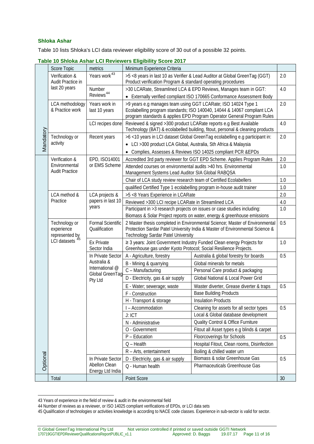#### **Shloka Ashar**

Table 10 lists Shloka's LCI data reviewer eligibility score of 30 out of a possible 32 points.

|           |                                                            |                                           | <b>Uniona Abrian LOI NOVIGWORD Engibility OCOIC 2017</b>                                                                                          |                                                                               |     |
|-----------|------------------------------------------------------------|-------------------------------------------|---------------------------------------------------------------------------------------------------------------------------------------------------|-------------------------------------------------------------------------------|-----|
|           | Score Topic                                                | metrics                                   | Minimum Experience Criteria                                                                                                                       |                                                                               |     |
|           | Verification &                                             | Years work <sup>43</sup>                  | >5 <8 years in last 10 as Verifier & Lead Auditor at Global GreenTag (GGT)                                                                        |                                                                               | 2.0 |
|           | Audit Practice in<br>last 20 years                         | Number<br>Reviews <sup>44</sup>           | Product verification Program & standard operating procedures                                                                                      |                                                                               |     |
|           |                                                            |                                           | >30 LCARate, Streamlined LCA & EPD Reviews, Manages team in GGT:                                                                                  |                                                                               | 4.0 |
|           |                                                            |                                           | • Externally verified compliant ISO 170665 Conformance Assessment Body                                                                            |                                                                               | 2.0 |
|           | LCA methodology                                            | Years work in<br>last 10 years            | >9 years e.g manages team using GGT LCARate; ISO 14024 Type 1                                                                                     |                                                                               |     |
|           | & Practice work                                            |                                           | Ecolabelling program standards; ISO 140040, 14044 & 14067 compliant LCA<br>program standards & applies EPD Program Operator General Program Rules |                                                                               |     |
|           |                                                            | LCI recipes done                          | Reviewed & signed >300 product LCARate reports e.g Best Available                                                                                 |                                                                               | 4.0 |
|           |                                                            |                                           |                                                                                                                                                   | Technology (BAT) & ecolabelled building, fitout, personal & cleaning products |     |
| Mandatory | Technology or                                              | Recent years                              | >6<10 years in LCI dataset Global GreenTag ecolabelling e.g participant in:                                                                       |                                                                               | 2.0 |
|           | activity                                                   |                                           | • LCI > 300 product LCA Global, Australia, Sth Africa & Malaysia                                                                                  |                                                                               |     |
|           |                                                            |                                           | • Complies, Assesses & Reviews ISO 14025 compliant PCR &EPDs                                                                                      |                                                                               |     |
|           | Verification &                                             | EPD, ISO14001                             |                                                                                                                                                   | Accredited 3rd party reviewer for GGT EPD Scheme. Applies Program Rules       | 2.0 |
|           | Environmental                                              | or EMS Scheme                             | Attended courses on environmental audits >40 hrs. Environmental                                                                                   |                                                                               | 1.0 |
|           | <b>Audit Practice</b>                                      |                                           | Management Systems Lead Auditor SIA Global RABOSA                                                                                                 |                                                                               |     |
|           |                                                            |                                           | Chair of LCA study review research team of Certified Ecolabellers                                                                                 |                                                                               | 1.0 |
|           |                                                            |                                           | qualified Certified Type 1 ecolabelling program in-house audit trainer                                                                            |                                                                               | 1.0 |
|           | LCA method &                                               | LCA projects &                            | >5 <8 Years Experience in LCARate                                                                                                                 |                                                                               | 2.0 |
|           | Practice                                                   | papers in last 10                         | Reviewed >300 LCI recipe LCARate in Streamlined LCA                                                                                               |                                                                               | 4.0 |
|           |                                                            | years                                     | Participant in >3 research projects on issues or case studies including:                                                                          |                                                                               | 1.0 |
|           |                                                            |                                           | Biomass & Solar Project reports on water, energy & greenhouse emissions                                                                           |                                                                               |     |
|           | Technology or                                              | <b>Formal Scientific</b><br>Qualification | 2 Master thesis completed in Environmental Science; Master of Environmental                                                                       |                                                                               | 0.5 |
|           | experience<br>represented by<br>LCI datasets <sup>45</sup> |                                           | Protection Sardar Patel University India & Master of Environmental Science &                                                                      |                                                                               |     |
|           |                                                            | <b>Ex Private</b>                         | <b>Technology Sardar Patel University</b><br>≥ 3 years: Joint Government Industry Funded Clean energy Projects for                                |                                                                               | 1.0 |
|           |                                                            | Sector India                              | Greenhouse gas under Kyoto Protocol; Social Resilience Projects.                                                                                  |                                                                               |     |
|           |                                                            | In Private Sector                         | A - Agriculture, forestry                                                                                                                         | Australia & global forestry for boards                                        | 0.5 |
|           |                                                            | Australia &                               | B - Mining & quarrying                                                                                                                            | Global minerals for metals                                                    |     |
|           |                                                            | International @                           | C - Manufacturing                                                                                                                                 | Personal Care product & packaging                                             |     |
|           |                                                            | Global GreenTag                           | D - Electricity, gas & air supply                                                                                                                 | <b>Global National &amp; Local Power Grid</b>                                 |     |
|           |                                                            | Pty Ltd                                   | E - Water; sewerage; waste                                                                                                                        | Waster diverter, Grease diverter & traps                                      | 0.5 |
|           |                                                            |                                           | F - Construction                                                                                                                                  | <b>Base Building Products</b>                                                 |     |
|           |                                                            |                                           | H - Transport & storage                                                                                                                           | <b>Insulation Products</b>                                                    |     |
|           |                                                            |                                           | I - Accommodation                                                                                                                                 | Cleaning for assets for all sector types                                      | 0.5 |
|           |                                                            |                                           | J: ICT                                                                                                                                            | Local & Global database development                                           |     |
|           |                                                            |                                           | N - Administrative                                                                                                                                | <b>Quality Control &amp; Office Furniture</b>                                 |     |
|           |                                                            |                                           | O - Government                                                                                                                                    | Fitout all Asset types e.g blinds & carpet                                    |     |
|           |                                                            |                                           | P - Education                                                                                                                                     | Floorcoverings for Schools                                                    | 0.5 |
|           |                                                            |                                           | $Q - Health$                                                                                                                                      | Hospital Fitout, Clean rooms, Disinfection                                    |     |
|           |                                                            |                                           | R - Arts, entertainment                                                                                                                           | Boiling & chilled water urn                                                   |     |
| Optional  |                                                            | In Private Sector                         | D - Electricity, gas & air supply                                                                                                                 | Biomass & solar Greenhouse Gas                                                | 0.5 |
|           |                                                            | Abellon Clean                             | Q - Human health                                                                                                                                  | Pharmaceuticals Greenhouse Gas                                                |     |
|           |                                                            | Energy Ltd India                          |                                                                                                                                                   |                                                                               |     |
|           | Total                                                      |                                           | Point Score                                                                                                                                       |                                                                               | 30  |

#### **Table 10 Shloka Ashar LCI Reviewers Eligibility Score 2017**

<span id="page-11-0"></span><sup>-</sup>43 Years of experience in the field of review & audit in the environmental field

<span id="page-11-1"></span><sup>44</sup> Number of reviews as a reviewer, or ISO 14025 compliant verifications of EPDs, or LCI data sets

<span id="page-11-2"></span><sup>45</sup> Qualification of technologies or activities knowledge is according to NACE code classes. Experience in sub-sector is valid for sector.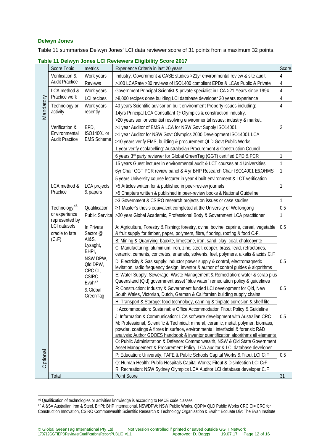#### **Delwyn Jones**

Table 11 summarises Delwyn Jones' LCI data reviewer score of 31 points from a maximum 32 points.

|           |                                                          |                                                                              |                                                                                                                                                                       | Score          |
|-----------|----------------------------------------------------------|------------------------------------------------------------------------------|-----------------------------------------------------------------------------------------------------------------------------------------------------------------------|----------------|
| Mandatory | Score Topic                                              | metrics                                                                      | Experience Criteria in last 20 years                                                                                                                                  |                |
|           | Verification &                                           | Work years                                                                   | Industry, Government & CASE studies > 21 yr environmental review & site audit                                                                                         | 4              |
|           | <b>Audit Practice</b>                                    | <b>Reviews</b>                                                               | >100 LCARate >30 reviews of ISO1400 compliant EPDs & LCAs Public & Private                                                                                            | 4              |
|           | LCA method &                                             | Work years                                                                   | Government Principal Scientist & private specialist in LCA >21 Years since 1994                                                                                       | $\overline{4}$ |
|           | Practice work                                            | <b>LCI</b> recipes                                                           | >8,000 recipes done building LCI database developer 20 years experience                                                                                               | $\sqrt{4}$     |
|           | Technology or                                            | Work years<br>recently                                                       | 40 years Scientific advisor on built environment Property issues including:                                                                                           | $\overline{4}$ |
|           | activity                                                 |                                                                              | 14yrs Principal LCA Consultant @ Olympics & construction industry.                                                                                                    |                |
|           |                                                          |                                                                              | >20 years senior scientist resolving environmental issues: industry & market.                                                                                         |                |
|           | Verification &<br>Environmental<br><b>Audit Practice</b> | EPD,<br>ISO14001 or<br><b>EMS Scheme</b>                                     | >1 year Auditor of EMS & LCA for NSW Govt Supply ISO14001                                                                                                             | 2              |
|           |                                                          |                                                                              | >1 year Auditor for NSW Govt Olympics 2000 Development ISO14001 LCA                                                                                                   |                |
|           |                                                          |                                                                              | >10 years verify EMS, building & procurement QLD Govt Public Works                                                                                                    |                |
|           |                                                          |                                                                              | 1 year verify ecolabelling: Australasian Procurement & Construction Council                                                                                           |                |
|           |                                                          |                                                                              | 6 years 3rd party reviewer for Global GreenTag (GGT) certified EPD & PCR                                                                                              | 1              |
|           |                                                          |                                                                              | 15 years Guest lecturer in environmental audit & LCT courses at 4 Universities                                                                                        | $\mathbf{1}$   |
|           |                                                          |                                                                              | 6yr Chair GGT PCR review panel & 4 yr BHP Research Chair ISO14001 E&OHMS                                                                                              | 1              |
|           |                                                          |                                                                              | 5 years University course lecturer in year 4 built environment & LCT verification                                                                                     |                |
|           | LCA method &                                             | <b>LCA</b> projects                                                          | >5 Articles written for & published in peer-review journals                                                                                                           | 1              |
|           | Practice                                                 | & papers                                                                     | >5 Chapters written & published in peer-review books & National Guideline                                                                                             |                |
|           |                                                          |                                                                              | >3 Government & CSIRO research projects on issues or case studies                                                                                                     | 1              |
|           | Technology <sup>46</sup>                                 | Qualification                                                                | ≥1 Master's thesis equivalent completed at the University of Wollongong                                                                                               | 0.5            |
|           | or experience                                            | <b>Public Service</b>                                                        | >20 year Global Academic, Professional Body & Government LCA practitioner                                                                                             | 1              |
|           | represented by                                           |                                                                              |                                                                                                                                                                       |                |
|           | <b>LCI</b> datasets<br>cradle to fate<br>$(C_2F)$        | In Private<br>Sector @<br>AI&S,<br>Lysaght,<br>BHPI,<br>NSW DPW,<br>Qld DPW, | A: Agriculture, Forestry & Fishing: forestry, ovine, bovine, caprine, cereal, vegetable                                                                               | 0.5            |
|           |                                                          |                                                                              | & fruit supply for timber, paper, polymers, fibre, flooring, roofing & food C2F.                                                                                      |                |
|           |                                                          |                                                                              | B: Mining & Quarrying: bauxite, limestone, iron, sand, clay, coal, chalcopyrite                                                                                       |                |
|           |                                                          |                                                                              | C: Manufacturing: aluminium, iron, zinc, steel, copper, brass, lead, refractories,                                                                                    |                |
|           |                                                          |                                                                              | ceramic, cements, concretes, enamels, solvents, fuel, polymers, alkalis & acids C2F                                                                                   |                |
|           |                                                          |                                                                              | D: Electricity & Gas supply: inductor power supply & control, electromagnetic                                                                                         | 0.5            |
|           |                                                          | CRC CI,                                                                      | levitation, radio frequency design, inventor & author of control guides & algorithms<br>E: Water Supply; Sewerage; Waste Management & Remediation: water & scrap plus |                |
|           |                                                          | CSIRO,                                                                       | Queensland (Qld) government asset "blue water" remediation policy & guidelines                                                                                        |                |
|           |                                                          | Evah <sup>47</sup>                                                           | F: Construction: Industry & Government funded LCI development for Qld, New                                                                                            | 0.5            |
|           |                                                          | & Global<br>GreenTag                                                         | South Wales, Victorian, Dutch, German & Californian building supply chains                                                                                            |                |
|           |                                                          |                                                                              | H: Transport & Storage: food technology, canning & tinplate corrosion & shelf life                                                                                    |                |
|           |                                                          |                                                                              | I: Accommodation: Sustainable Office Accommodation Fitout Policy & Guideline                                                                                          |                |
|           |                                                          |                                                                              | J: Information & Communication: LCA software development with Australian CRC                                                                                          | 0.5            |
|           |                                                          |                                                                              | M: Professional, Scientific & Technical: mineral, ceramic, metal, polymer, biomass,                                                                                   |                |
|           |                                                          |                                                                              | powder, coatings & fibres in surface, environmental, interfacial & forensic R&D                                                                                       |                |
|           |                                                          |                                                                              | analysis: Author GDOES handbook & inventor quantification algorithms all elements                                                                                     |                |
|           |                                                          |                                                                              | O: Public Administration & Defence: Commonwealth, NSW & Qld State Government                                                                                          |                |
|           |                                                          |                                                                              | Asset Management & Procurement Policy, LCA auditor & LCI database developer                                                                                           |                |
| Optional  |                                                          |                                                                              | P: Education: University, TAFE & Public Schools Capital Works & Fitout LCI C2F                                                                                        | 0.5            |
|           |                                                          |                                                                              | Q: Human Health: Public Hospitals Capital Works; Fitout & Disinfection LCI C <sub>2</sub> F                                                                           |                |
|           |                                                          |                                                                              | R: Recreation: NSW Sydney Olympics LCA Auditor LCI database developer C <sub>2</sub> F                                                                                |                |
|           | Total                                                    |                                                                              | Point Score                                                                                                                                                           | 31             |

**Table 11 Delwyn Jones LCI Reviewers Eligibility Score 2017**

<span id="page-12-0"></span><sup>-</sup><sup>46</sup> Qualification of technologies or activities knowledge is according to NACE code classes.

<span id="page-12-1"></span><sup>47</sup> AI&S= Australian Iron & Steel, BHPI; BHP International, NSWDPW; NSW Public Works, QDPI= QLD Public Works CRC CI= CRC for Construction Innovation, CSIRO Commonwealth Scientific Research & Technology Organisation & Evah= Ecquate Div: The Evah Institute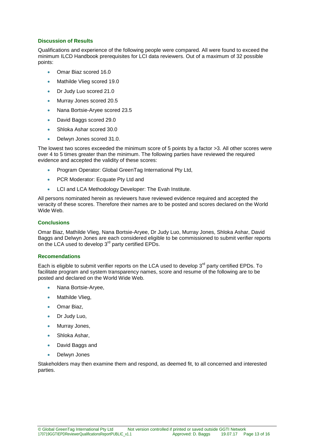#### **Discussion of Results**

Qualifications and experience of the following people were compared. All were found to exceed the minimum ILCD Handbook prerequisites for LCI data reviewers. Out of a maximum of 32 possible points:

- Omar Biaz scored 16.0
- Mathilde Vlieg scored 19.0
- Dr Judy Luo scored 21.0
- Murray Jones scored 20.5
- Nana Bortsie-Aryee scored 23.5
- David Baggs scored 29.0
- Shloka Ashar scored 30.0
- Delwyn Jones scored 31.0.

The lowest two scores exceeded the minimum score of 5 points by a factor >3. All other scores were over 4 to 5 times greater than the minimum. The following parties have reviewed the required evidence and accepted the validity of these scores:

- Program Operator: Global GreenTag International Pty Ltd,
- PCR Moderator: Ecquate Pty Ltd and
- LCI and LCA Methodology Developer: The Evah Institute.

All persons nominated herein as reviewers have reviewed evidence required and accepted the veracity of these scores. Therefore their names are to be posted and scores declared on the World Wide Web.

#### **Conclusions**

Omar Biaz, Mathilde Vlieg, Nana Bortsie-Aryee, Dr Judy Luo, Murray Jones, Shloka Ashar, David Baggs and Delwyn Jones are each considered eligible to be commissioned to submit verifier reports on the LCA used to develop 3<sup>rd</sup> party certified EPDs.

#### **Recomendations**

Each is eligible to submit verifier reports on the LCA used to develop  $3<sup>rd</sup>$  party certified EPDs. To facilitate program and system transparency names, score and resume of the following are to be posted and declared on the World Wide Web.

- Nana Bortsie-Aryee,
- Mathilde Vlieg,
- Omar Biaz,
- Dr Judy Luo,
- Murray Jones,
- Shloka Ashar,
- David Baggs and
- Delwyn Jones

Stakeholders may then examine them and respond, as deemed fit, to all concerned and interested parties.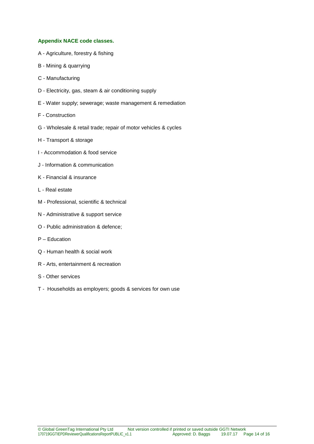#### **Appendix NACE code classes.**

- A Agriculture, forestry & fishing
- B Mining & quarrying
- C Manufacturing
- D Electricity, gas, steam & air conditioning supply
- E Water supply; sewerage; waste management & remediation
- F Construction
- G Wholesale & retail trade; repair of motor vehicles & cycles
- H Transport & storage
- I Accommodation & food service
- J Information & communication
- K Financial & insurance
- L Real estate
- M Professional, scientific & technical
- N Administrative & support service
- O Public administration & defence;
- P Education
- Q Human health & social work
- R Arts, entertainment & recreation
- S Other services
- T Households as employers; goods & services for own use